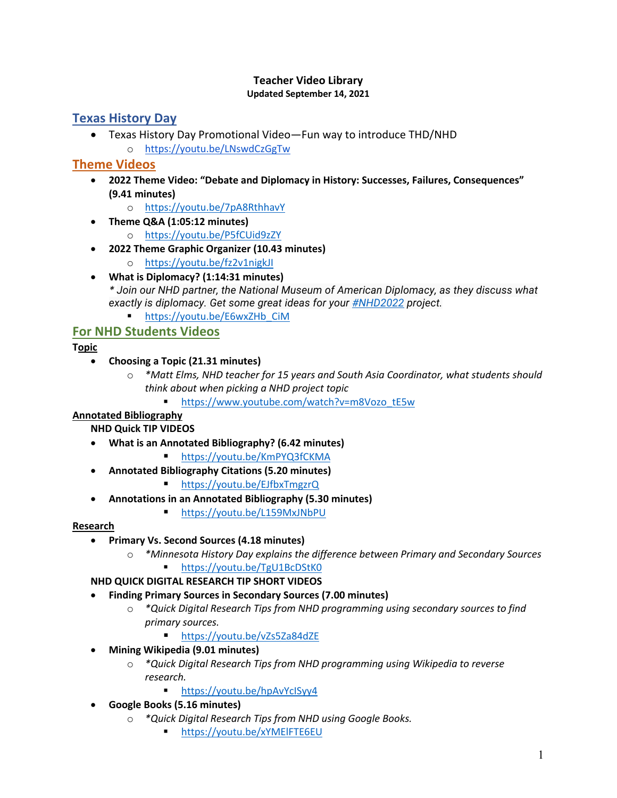#### **Teacher Video Library Updated September 14, 2021**

# **Texas History Day**

• Texas History Day Promotional Video—Fun way to introduce THD/NHD o https://youtu.be/LNswdCzGgTw

## **Theme Videos**

- **2022 Theme Video: "Debate and Diplomacy in History: Successes, Failures, Consequences" (9.41 minutes)**
	- o https://youtu.be/7pA8RthhavY
- **Theme Q&A (1:05:12 minutes)**
	- o https://youtu.be/P5fCUid9zZY
- **2022 Theme Graphic Organizer (10.43 minutes)**
	- o https://youtu.be/fz2v1nigkJI
- **What is Diplomacy? (1:14:31 minutes)** *\* Join our NHD partner, the National Museum of American Diplomacy, as they discuss what exactly is diplomacy. Get some great ideas for your #NHD2022 project.*
	- https://youtu.be/E6wxZHb\_CiM

# **For NHD Students Videos**

**Topic**

- **Choosing a Topic (21.31 minutes)**
	- o *\*Matt Elms, NHD teacher for 15 years and South Asia Coordinator, what students should think about when picking a NHD project topic*
		- § https://www.youtube.com/watch?v=m8Vozo\_tE5w

### **Annotated Bibliography**

**NHD Quick TIP VIDEOS**

- **What is an Annotated Bibliography? (6.42 minutes)**
	- § https://youtu.be/KmPYQ3fCKMA
- **Annotated Bibliography Citations (5.20 minutes)**
	- https://youtu.be/EJfbxTmgzrQ
- **Annotations in an Annotated Bibliography (5.30 minutes)**
	- https://youtu.be/L159MxJNbPU

### **Research**

- **Primary Vs. Second Sources (4.18 minutes)**
	- o *\*Minnesota History Day explains the difference between Primary and Secondary Sources* ■ https://youtu.be/TgU1BcDStK0

### **NHD QUICK DIGITAL RESEARCH TIP SHORT VIDEOS**

### • **Finding Primary Sources in Secondary Sources (7.00 minutes)**

- o *\*Quick Digital Research Tips from NHD programming using secondary sources to find primary sources.*
	- https://youtu.be/vZs5Za84dZE
- **Mining Wikipedia (9.01 minutes)**
	- o *\*Quick Digital Research Tips from NHD programming using Wikipedia to reverse research.*
		- https://youtu.be/hpAvYcISyy4
- **Google Books (5.16 minutes)**
	- o *\*Quick Digital Research Tips from NHD using Google Books.*
		- § https://youtu.be/xYMElFTE6EU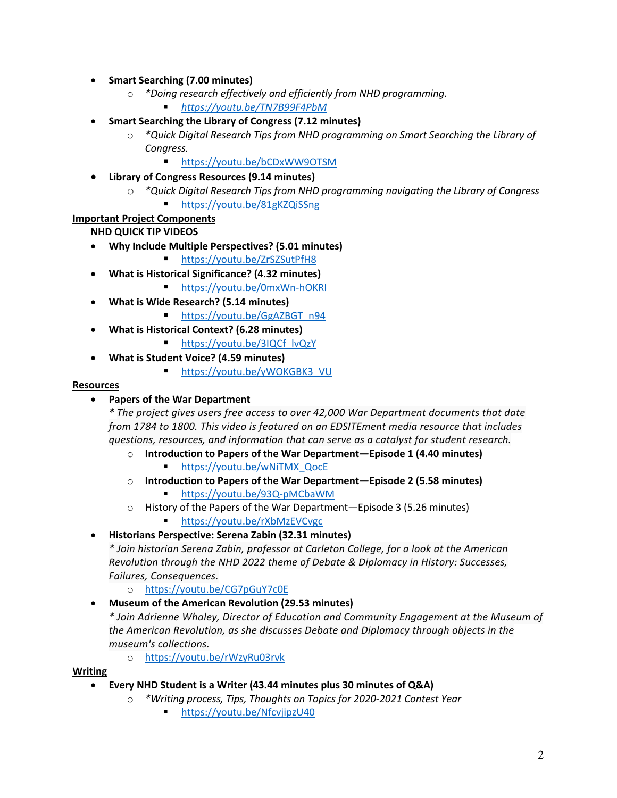- **Smart Searching (7.00 minutes)**
	- o *\*Doing research effectively and efficiently from NHD programming.*
		- § *https://youtu.be/TN7B99F4PbM*
- **Smart Searching the Library of Congress (7.12 minutes)**
	- o *\*Quick Digital Research Tips from NHD programming on Smart Searching the Library of Congress.*
		- https://youtu.be/bCDxWW9OTSM
- **Library of Congress Resources (9.14 minutes)**
	- o *\*Quick Digital Research Tips from NHD programming navigating the Library of Congress* 
		- § https://youtu.be/81gKZQiSSng

#### **Important Project Components**

**NHD QUICK TIP VIDEOS**

- **Why Include Multiple Perspectives? (5.01 minutes)**
	- § https://youtu.be/ZrSZSutPfH8
- **What is Historical Significance? (4.32 minutes)**
	- https://youtu.be/0mxWn-hOKRI
- **What is Wide Research? (5.14 minutes)**
	- https://youtu.be/GgAZBGT\_n94
- **What is Historical Context? (6.28 minutes)**
	- § https://youtu.be/3IQCf\_lvQzY
- **What is Student Voice? (4.59 minutes)**
	- https://youtu.be/yWOKGBK3\_VU

#### **Resources**

• **Papers of the War Department**

*\* The project gives users free access to over 42,000 War Department documents that date from 1784 to 1800. This video is featured on an EDSITEment media resource that includes questions, resources, and information that can serve as a catalyst for student research.*

- o **Introduction to Papers of the War Department—Episode 1 (4.40 minutes)**
	- § https://youtu.be/wNiTMX\_QocE
- o **Introduction to Papers of the War Department—Episode 2 (5.58 minutes)**
- § https://youtu.be/93Q-pMCbaWM o History of the Papers of the War Department—Episode 3 (5.26 minutes)
	- https://youtu.be/rXbMzEVCvgc

#### • **Historians Perspective: Serena Zabin (32.31 minutes)**

*\* Join historian Serena Zabin, professor at Carleton College, for a look at the American Revolution through the NHD 2022 theme of Debate & Diplomacy in History: Successes, Failures, Consequences.*

- o https://youtu.be/CG7pGuY7c0E
- **Museum of the American Revolution (29.53 minutes)**

*\* Join Adrienne Whaley, Director of Education and Community Engagement at the Museum of the American Revolution, as she discusses Debate and Diplomacy through objects in the museum's collections.*

o https://youtu.be/rWzyRu03rvk

#### **Writing**

- **Every NHD Student is a Writer (43.44 minutes plus 30 minutes of Q&A)**
	- o *\*Writing process, Tips, Thoughts on Topics for 2020-2021 Contest Year*
		- § https://youtu.be/NfcvjipzU40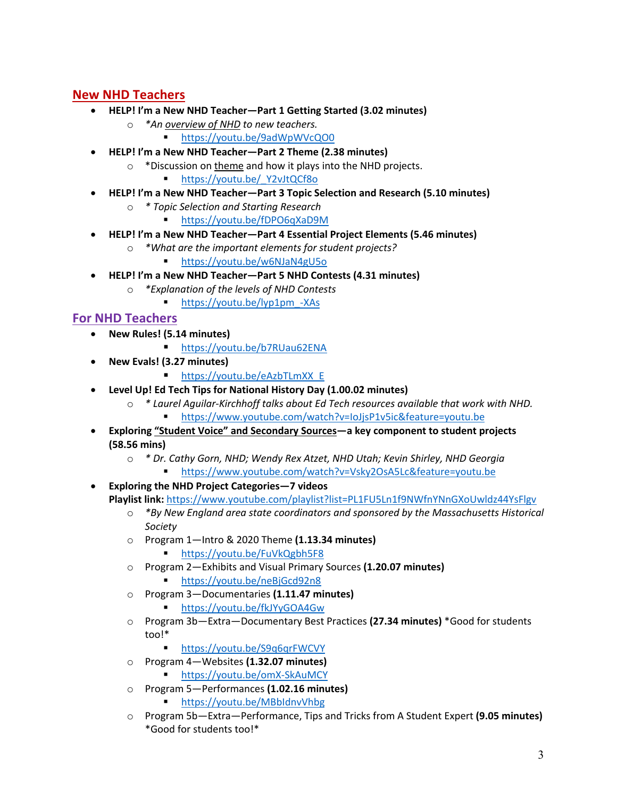# **New NHD Teachers**

- **HELP! I'm a New NHD Teacher—Part 1 Getting Started (3.02 minutes)**
	- o *\*An overview of NHD to new teachers.*
		- § https://youtu.be/9adWpWVcQO0
- **HELP! I'm a New NHD Teacher—Part 2 Theme (2.38 minutes)**
	- $\circ$  \*Discussion on theme and how it plays into the NHD projects.
		- § https://youtu.be/\_Y2vJtQCf8o
- **HELP! I'm a New NHD Teacher—Part 3 Topic Selection and Research (5.10 minutes)**
	- o *\* Topic Selection and Starting Research*
		- § https://youtu.be/fDPO6qXaD9M
- **HELP! I'm a New NHD Teacher—Part 4 Essential Project Elements (5.46 minutes)**
	- o *\*What are the important elements for student projects?*
		- § https://youtu.be/w6NJaN4gU5o
- **HELP! I'm a New NHD Teacher—Part 5 NHD Contests (4.31 minutes)**
	- o *\*Explanation of the levels of NHD Contests*
		- § https://youtu.be/lyp1pm\_-XAs

## **For NHD Teachers**

- **New Rules! (5.14 minutes)**
	- https://youtu.be/b7RUau62ENA
- **New Evals! (3.27 minutes)**
	- § https://youtu.be/eAzbTLmXX\_E
- **Level Up! Ed Tech Tips for National History Day (1.00.02 minutes)**
	- o *\* Laurel Aguilar-Kirchhoff talks about Ed Tech resources available that work with NHD.* § https://www.youtube.com/watch?v=IoJjsP1v5ic&feature=youtu.be
- **Exploring "Student Voice" and Secondary Sources—a key component to student projects (58.56 mins)**
	- o *\* Dr. Cathy Gorn, NHD; Wendy Rex Atzet, NHD Utah; Kevin Shirley, NHD Georgia*
		- § https://www.youtube.com/watch?v=Vsky2OsA5Lc&feature=youtu.be
- **Exploring the NHD Project Categories—7 videos Playlist link:** https://www.youtube.com/playlist?list=PL1FU5Ln1f9NWfnYNnGXoUwldz44YsFlgv
	- o *\*By New England area state coordinators and sponsored by the Massachusetts Historical Society*
	- o Program 1—Intro & 2020 Theme **(1.13.34 minutes)**
		- https://youtu.be/FuVkQgbh5F8
	- o Program 2—Exhibits and Visual Primary Sources **(1.20.07 minutes)** § https://youtu.be/neBjGcd92n8
	- o Program 3—Documentaries **(1.11.47 minutes)**
		- https://youtu.be/fkJYyGOA4Gw
	- o Program 3b—Extra—Documentary Best Practices **(27.34 minutes)** \*Good for students too!\*
		- https://youtu.be/S9q6qrFWCVY
	- o Program 4—Websites **(1.32.07 minutes)**
		- § https://youtu.be/omX-SkAuMCY
	- o Program 5—Performances **(1.02.16 minutes)**
		- § https://youtu.be/MBbIdnvVhbg
	- o Program 5b—Extra—Performance, Tips and Tricks from A Student Expert **(9.05 minutes)** \*Good for students too!\*